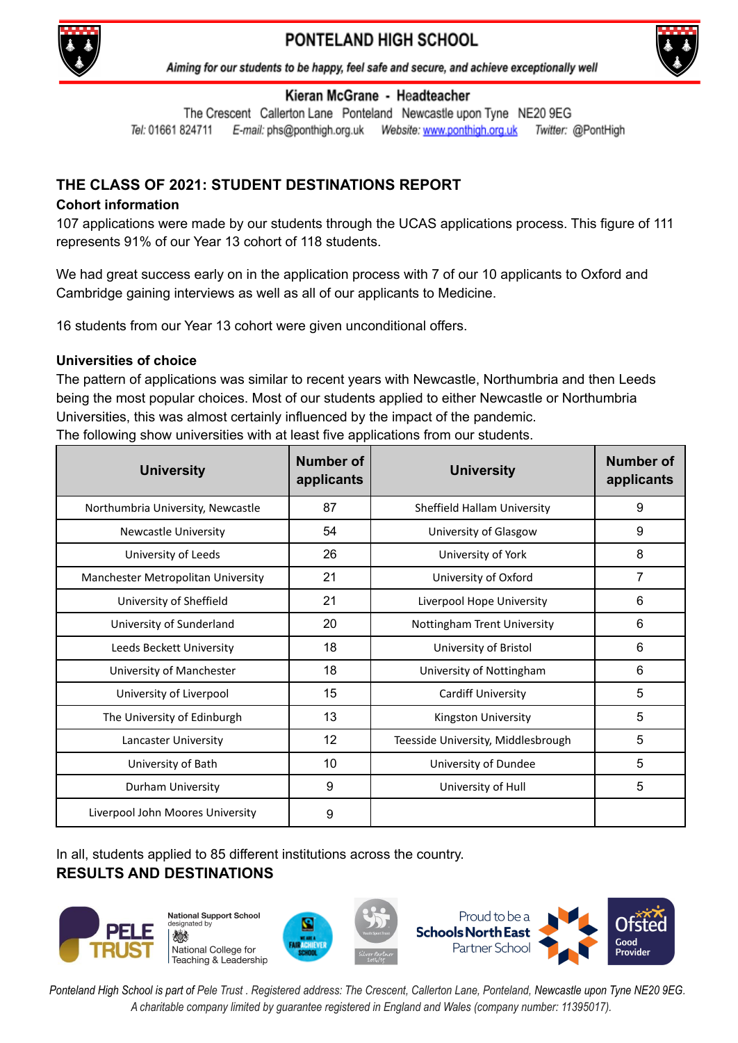

# PONTELAND HIGH SCHOOL



Aiming for our students to be happy, feel safe and secure, and achieve exceptionally well

#### Kieran McGrane - Headteacher

The Crescent Callerton Lane Ponteland Newcastle upon Tyne NE20 9EG Tel: 01661 824711 E-mail: phs@ponthigh.org.uk Website: www.ponthigh.org.uk Twitter: @PontHigh

### **THE CLASS OF 2021: STUDENT DESTINATIONS REPORT**

#### **Cohort information**

107 applications were made by our students through the UCAS applications process. This figure of 111 represents 91% of our Year 13 cohort of 118 students.

We had great success early on in the application process with 7 of our 10 applicants to Oxford and Cambridge gaining interviews as well as all of our applicants to Medicine.

16 students from our Year 13 cohort were given unconditional offers.

#### **Universities of choice**

The pattern of applications was similar to recent years with Newcastle, Northumbria and then Leeds being the most popular choices. Most of our students applied to either Newcastle or Northumbria Universities, this was almost certainly influenced by the impact of the pandemic.

The following show universities with at least five applications from our students.

| <b>University</b>                  | Number of<br>applicants | <b>University</b>                  | <b>Number of</b><br>applicants |
|------------------------------------|-------------------------|------------------------------------|--------------------------------|
| Northumbria University, Newcastle  | 87                      | Sheffield Hallam University        | 9                              |
| Newcastle University               | 54                      | University of Glasgow              | 9                              |
| University of Leeds                | 26                      | University of York                 | 8                              |
| Manchester Metropolitan University | 21                      | University of Oxford               | 7                              |
| University of Sheffield            | 21                      | Liverpool Hope University          | 6                              |
| University of Sunderland           | 20                      | Nottingham Trent University        | 6                              |
| Leeds Beckett University           | 18                      | University of Bristol              | $6\phantom{1}$                 |
| University of Manchester           | 18                      | University of Nottingham           | 6                              |
| University of Liverpool            | 15                      | <b>Cardiff University</b>          | 5                              |
| The University of Edinburgh        | 13                      | Kingston University                | 5                              |
| Lancaster University               | 12                      | Teesside University, Middlesbrough | 5                              |
| University of Bath                 | 10                      | University of Dundee               | 5                              |
| Durham University                  | 9                       | University of Hull                 | 5                              |
| Liverpool John Moores University   | 9                       |                                    |                                |

In all, students applied to 85 different institutions across the country.

## **RESULTS AND DESTINATIONS**



**National Support School** id heternizel National College for Teaching & Leadership



Proud to be a **Schools North East** Partner School Provide

Ponteland High School is part of Pele Trust. Registered address: The Crescent, Callerton Lane, Ponteland, Newcastle upon Tyne NE20 9EG. *A charitable company limited by guarantee registered in England and Wales (company number: 11395017).*